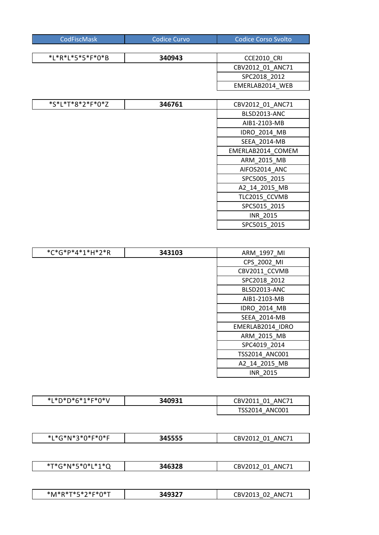| CodFiscMask <sup>1</sup> | Codice Curvo' | Codice Corso Svolto |
|--------------------------|---------------|---------------------|
|                          |               |                     |

| *L*R*L*5*5*F*0*B | 340943 | CCE2010 CRI      |
|------------------|--------|------------------|
|                  |        | CBV2012 01 ANC71 |
|                  |        | SPC2018 2012     |
|                  |        | EMERLAB2014 WEB  |

| *S*L*T*8*2*F*0*Z | 346761 | CBV2012 01 ANC71    |
|------------------|--------|---------------------|
|                  |        | BLSD2013-ANC        |
|                  |        | AIB1-2103-MB        |
|                  |        | <b>IDRO 2014 MB</b> |
|                  |        | SEEA 2014-MB        |
|                  |        | EMERLAB2014 COMEM   |
|                  |        | ARM_2015_MB         |
|                  |        | AIFOS2014 ANC       |
|                  |        | SPC5005_2015        |
|                  |        | A2 14 2015 MB       |
|                  |        | TLC2015 CCVMB       |
|                  |        | SPC5015 2015        |
|                  |        | INR_2015            |
|                  |        | SPC5015 2015        |

| *C*G*P*4*1*H*2*R | 343103 | ARM_1997_MI      |
|------------------|--------|------------------|
|                  |        | CPS_2002_MI      |
|                  |        | CBV2011_CCVMB    |
|                  |        | SPC2018 2012     |
|                  |        | BLSD2013-ANC     |
|                  |        | AIB1-2103-MB     |
|                  |        | IDRO_2014_MB     |
|                  |        | SEEA_2014-MB     |
|                  |        | EMERLAB2014 IDRO |
|                  |        | ARM_2015_MB      |
|                  |        | SPC4019 2014     |
|                  |        | TSS2014 ANC001   |
|                  |        | A2_14_2015_MB    |
|                  |        | <b>INR 2015</b>  |

| *L*D*D*6*1*F*0*V | 340931 | ANC71<br>CBV2011<br>- 01 |
|------------------|--------|--------------------------|
|                  |        | TSS2014 ANC001           |

| .<br>.<br>-----<br>$\mathbf{A}$<br>$\sim$ $\sim$ $\sim$ $\sim$<br>$\overline{\phantom{a}}$<br>$\sim$<br>$\sim$<br>.<br>$\sim$<br>$\sim$<br>١Nι<br>ויו<br>.<br>. .<br>. . |
|--------------------------------------------------------------------------------------------------------------------------------------------------------------------------|
|--------------------------------------------------------------------------------------------------------------------------------------------------------------------------|

| .<br>- - - - - -<br>$*\tau$<br>.<br>$\sim$<br><br>$\sim$<br>$\sim$<br>$\sim$ $\sim$<br>.<br>$\tilde{}$ | ,,,,,,<br>ەג | ^N⊾<br>`RV<br>- 71<br>◡<br>$\overline{\phantom{a}}$ |
|--------------------------------------------------------------------------------------------------------|--------------|-----------------------------------------------------|
|                                                                                                        |              |                                                     |

| and a strong of the local contract of<br>*M<br>.<br>.<br>$\sim$<br>.<br>$\sim$<br>$\sim$<br>$\sim$<br>. .<br>. . | $-$<br>- 1<br>.<br>. .<br>___ | $\sim$<br>ΔNΙ |
|------------------------------------------------------------------------------------------------------------------|-------------------------------|---------------|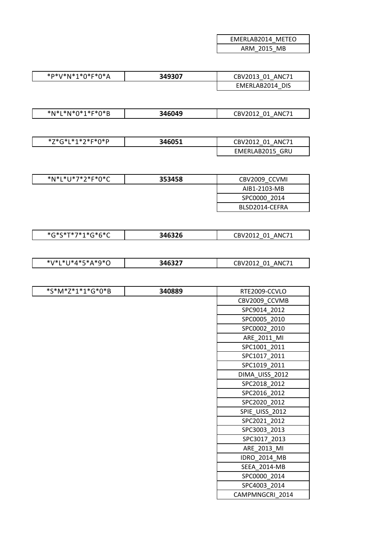| EMERLAB2014 METEO |             |  |
|-------------------|-------------|--|
|                   | ARM 2015 MB |  |

| *P*V*N*1*0*F*0*A | 349307 | CBV2013 01 ANC71 |
|------------------|--------|------------------|
|                  |        | EMERLAB2014 DIS  |

| *N*L*N*0*1*F*0*B | 346049 | ANC71<br>CBV2012 01 |
|------------------|--------|---------------------|
|------------------|--------|---------------------|

| *7*C*I*1*ገ*⊏*∩*D<br>. . | 346051 | ANC71<br>01<br>CBV2012<br>$\sim$ $\sim$ |
|-------------------------|--------|-----------------------------------------|
|                         |        | GRU<br>EMERLAB2015                      |

| *N*L*U*7*2*F*0*C | 353458 | CBV2009 CCVMI  |
|------------------|--------|----------------|
|                  |        | AIB1-2103-MB   |
|                  |        | SPC0000 2014   |
|                  |        | BLSD2014-CEFRA |

| *G*S*T*7*1*G*6*C | 346326 | CBV2012 01 ANC71 |
|------------------|--------|------------------|
|------------------|--------|------------------|

| .<br>- - -<br>- - -<br>*\/*<br>.<br>.<br>$\sim$<br>. .<br>$\sim$<br>. .<br>◡ | ,,,,,, | 1071<br>™RV.<br>'NI<br>ັບ<br>- -<br>--<br>__ |
|------------------------------------------------------------------------------|--------|----------------------------------------------|
|                                                                              |        |                                              |

| *S*M*Z*1*1*G*0*B | 340889 | RTE2009-CCVLO   |
|------------------|--------|-----------------|
|                  |        | CBV2009_CCVMB   |
|                  |        | SPC9014_2012    |
|                  |        | SPC0005_2010    |
|                  |        | SPC0002_2010    |
|                  |        | ARE_2011_MI     |
|                  |        | SPC1001_2011    |
|                  |        | SPC1017_2011    |
|                  |        | SPC1019_2011    |
|                  |        | DIMA_UISS_2012  |
|                  |        | SPC2018_2012    |
|                  |        | SPC2016 2012    |
|                  |        | SPC2020_2012    |
|                  |        | SPIE_UISS_2012  |
|                  |        | SPC2021 2012    |
|                  |        | SPC3003_2013    |
|                  |        | SPC3017_2013    |
|                  |        | ARE_2013_MI     |
|                  |        | IDRO_2014_MB    |
|                  |        | SEEA_2014-MB    |
|                  |        | SPC0000 2014    |
|                  |        | SPC4003 2014    |
|                  |        | CAMPMNGCRI 2014 |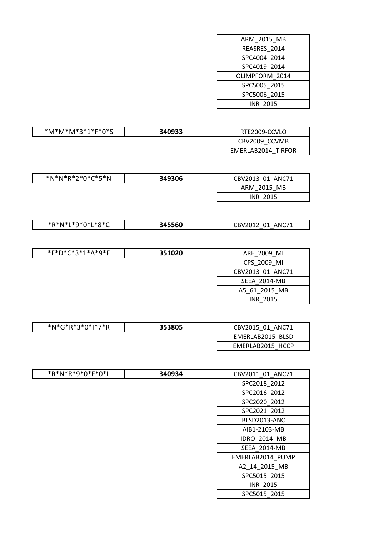| <b>ARM 2015 MB</b> |
|--------------------|
| REASRES 2014       |
| SPC4004 2014       |
| SPC4019 2014       |
| OLIMPFORM 2014     |
| SPC5005 2015       |
| SPC5006 2015       |
| <b>INR 2015</b>    |
|                    |

 $\overline{\phantom{a}}$ 

| *M*M*M*3*1*F*0*S | 340933 | RTE2009-CCVLO      |
|------------------|--------|--------------------|
|                  |        | CBV2009 CCVMB      |
|                  |        | EMERLAB2014 TIRFOR |

| *N*N*R*2*0*C*5*N | 349306 | CBV2013 01 ANC71 |
|------------------|--------|------------------|
|                  |        | ARM 2015 MB      |
|                  |        | <b>INR 2015</b>  |

| *R*N*I *9*0*I *8*C<br>. . | 45560<br>- | ANC71<br>CBV2012<br>01 |
|---------------------------|------------|------------------------|
|                           |            |                        |

| *F*D*C*3*1*A*9*F | 351020 | ARE 2009 MI      |
|------------------|--------|------------------|
|                  |        | CPS 2009 MI      |
|                  |        | CBV2013 01 ANC71 |
|                  |        | SEEA 2014-MB     |
|                  |        | A5 61 2015 MB    |
|                  |        | <b>INR 2015</b>  |
|                  |        |                  |

| *N*G*R*3*0*I*7*R | 353805 | CBV2015 01 ANC71 |
|------------------|--------|------------------|
|                  |        | EMERLAB2015 BLSD |
|                  |        | EMERLAB2015 HCCP |

| *R*N*R*9*0*F*0*L | 340934 | CBV2011 01 ANC71 |
|------------------|--------|------------------|
|                  |        | SPC2018_2012     |
|                  |        | SPC2016_2012     |
|                  |        | SPC2020 2012     |
|                  |        | SPC2021 2012     |
|                  |        | BLSD2013-ANC     |
|                  |        | AIB1-2103-MB     |
|                  |        | IDRO_2014_MB     |
|                  |        | SEEA 2014-MB     |
|                  |        | EMERLAB2014_PUMP |
|                  |        | A2 14 2015 MB    |
|                  |        | SPC5015 2015     |
|                  |        | <b>INR 2015</b>  |
|                  |        | SPC5015 2015     |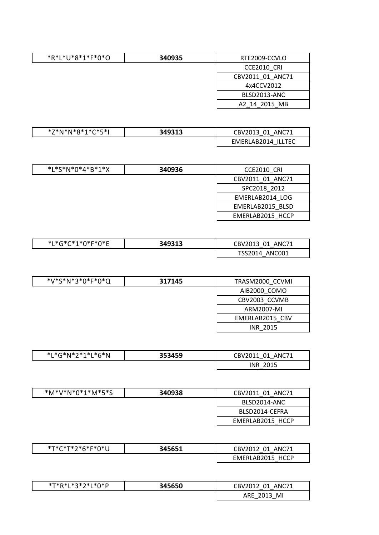| *R*L*U*8*1*F*0*O | 340935 | RTE2009-CCVLO    |
|------------------|--------|------------------|
|                  |        | CCE2010 CRI      |
|                  |        | CBV2011 01 ANC71 |
|                  |        | 4x4CCV2012       |
|                  |        | BLSD2013-ANC     |
|                  |        | A2 14 2015 MB    |

| \ *Q*1*C*C*I<br>'N<br>`*N ∴ | 349313 | ANC71<br>01<br>CBV2013 |
|-----------------------------|--------|------------------------|
|                             |        | ILLTEC<br>EMERLAB2014  |

| $*L*S*N*O*4*B*1*X$ | 340936 | CCE2010 CRI      |
|--------------------|--------|------------------|
|                    |        | CBV2011 01 ANC71 |
|                    |        | SPC2018 2012     |
|                    |        | EMERLAB2014 LOG  |
|                    |        | EMERLAB2015 BLSD |
|                    |        | EMERLAB2015 HCCP |

| *L*G*C*1*0*F*0*E | 349313 | ANC71<br>CBV2013 01 |
|------------------|--------|---------------------|
|                  |        | TSS2014 ANC001      |

| *V*S*N*3*0*F*0*Q | 317145 | TRASM2000 CCVMI |
|------------------|--------|-----------------|
|                  |        | AIB2000 COMO    |
|                  |        | CBV2003 CCVMB   |
|                  |        | ARM2007-MI      |
|                  |        | EMERLAB2015 CBV |
|                  |        | INR 2015        |

| *L*G*N*2*1*L*6*N | 353459 | CBV2011<br>ANC71<br>01<br>$ -$ |
|------------------|--------|--------------------------------|
|                  |        | <b>INR</b><br>2015<br>2010     |

| *M*V*N*0*1*M*5*S | 340938 | CBV2011 01 ANC71 |
|------------------|--------|------------------|
|                  |        | BLSD2014-ANC     |
|                  |        | BLSD2014-CEFRA   |
|                  |        | EMERLAB2015 HCCP |

| *T*C*T*?*հ*E*Ո*Ι | 345651 | ANC71<br>CBV2012 01<br>$\overline{\phantom{a}}$ |
|------------------|--------|-------------------------------------------------|
|                  |        | <b>HCCP</b><br>EMERLAB2015                      |

| *T*R*L*3*2*L*0*P | 345650 | CBV2012<br>ANC71<br>በ1<br>— — |
|------------------|--------|-------------------------------|
|                  |        | MI<br>ARE<br>-2017<br>້       |